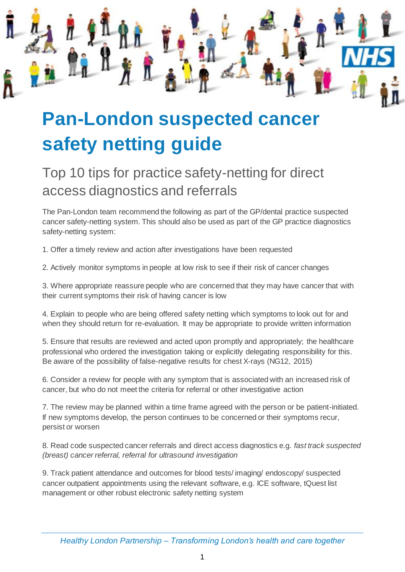

## **Pan-London suspected cancer safety netting guide**

## Top 10 tips for practice safety-netting for direct access diagnostics and referrals

The Pan-London team recommend the following as part of the GP/dental practice suspected cancer safety-netting system. This should also be used as part of the GP practice diagnostics safety-netting system:

1. Offer a timely review and action after investigations have been requested

2. Actively monitor symptoms in people at low risk to see if their risk of cancer changes

3. Where appropriate reassure people who are concerned that they may have cancer that with their current symptoms their risk of having cancer is low

4. Explain to people who are being offered safety netting which symptoms to look out for and when they should return for re-evaluation. It may be appropriate to provide written information

5. Ensure that results are reviewed and acted upon promptly and appropriately; the healthcare professional who ordered the investigation taking or explicitly delegating responsibility for this. Be aware of the possibility of false-negative results for chest X-rays (NG12, 2015)

6. Consider a review for people with any symptom that is associated with an increased risk of cancer, but who do not meet the criteria for referral or other investigative action

7. The review may be planned within a time frame agreed with the person or be patient-initiated. If new symptoms develop, the person continues to be concerned or their symptoms recur, persist or worsen

8. Read code suspected cancer referrals and direct access diagnostics e.g. *fast track suspected (breast) cancer referral, referral for ultrasound investigation* 

9. Track patient attendance and outcomes for blood tests/ imaging/ endoscopy/ suspected cancer outpatient appointments using the relevant software, e.g. ICE software, tQuest list management or other robust electronic safety netting system